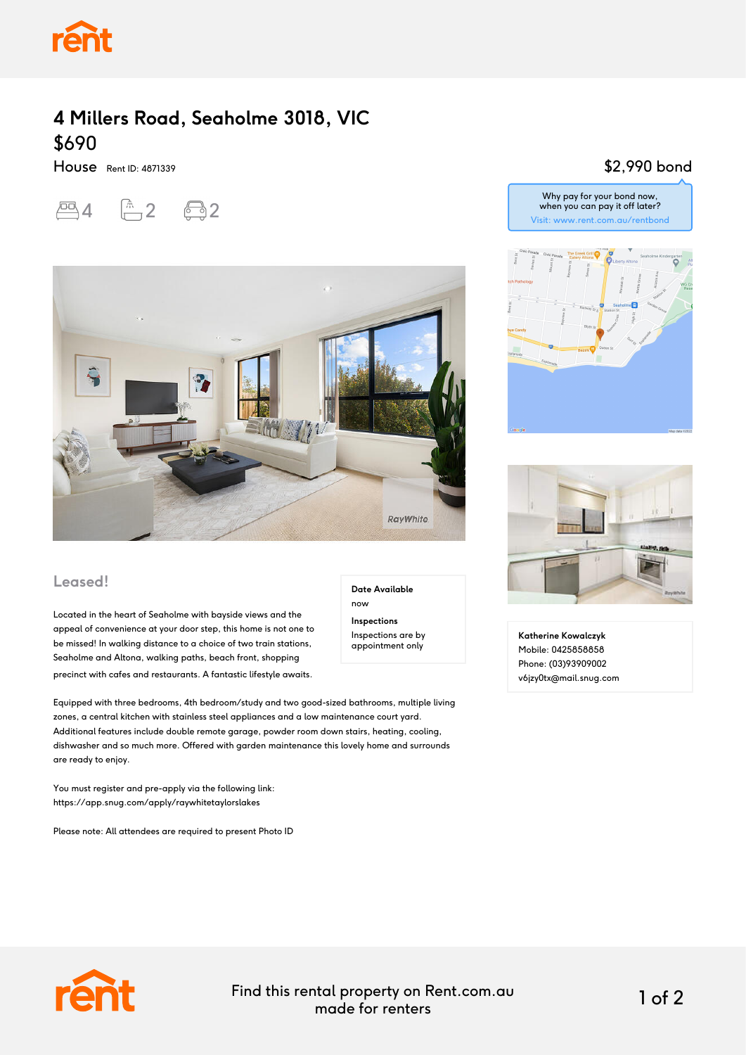

## **4 Millers Road, Seaholme 3018, VIC** \$690

House Rent ID: 4871339

 $-4$   $-2$   $-2$ 



#### **Leased!**

Located in the heart of Seaholme with bayside views and the appeal of convenience at your door step, this home is not one to be missed! In walking distance to a choice of two train stations, Seaholme and Altona, walking paths, beach front, shopping precinct with cafes and restaurants. A fantastic lifestyle awaits.

Equipped with three bedrooms, 4th bedroom/study and two good-sized bathrooms, multiple living zones, a central kitchen with stainless steel appliances and a low maintenance court yard. Additional features include double remote garage, powder room down stairs, heating, cooling, dishwasher and so much more. Offered with garden maintenance this lovely home and surrounds are ready to enjoy.

You must register and pre-apply via the following link: https://app.snug.com/apply/raywhitetaylorslakes

Please note: All attendees are required to present Photo ID

#### \$2,990 bond





**Katherine Kowalczyk** Mobile: 0425858858 Phone: (03)93909002 v6jzy0tx@mail.snug.com



Find this rental property on Rent.com.au made for renters 1 of 2

**Date Available**

now **Inspections** Inspections are by appointment only